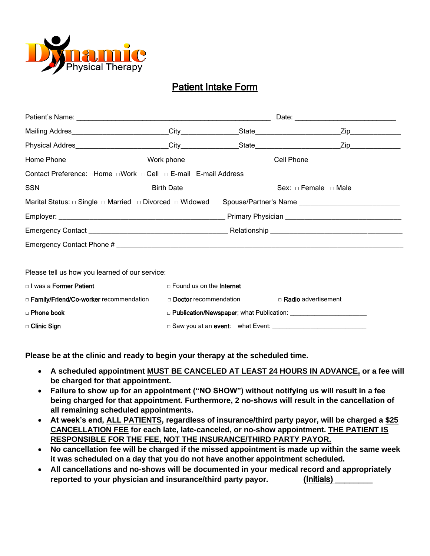

# Patient Intake Form

|                                                |                                                   |                                | Date:                                                                                                          |
|------------------------------------------------|---------------------------------------------------|--------------------------------|----------------------------------------------------------------------------------------------------------------|
|                                                |                                                   |                                |                                                                                                                |
|                                                |                                                   |                                |                                                                                                                |
|                                                |                                                   |                                | Home Phone _______________________Work phone _________________________Cell Phone _____________________________ |
|                                                |                                                   |                                |                                                                                                                |
|                                                |                                                   |                                |                                                                                                                |
|                                                |                                                   |                                | Marital Status: □ Single □ Married □ Divorced □ Widowed Spouse/Partner's Name ______________________           |
|                                                |                                                   |                                |                                                                                                                |
|                                                |                                                   |                                |                                                                                                                |
|                                                |                                                   |                                |                                                                                                                |
|                                                |                                                   |                                |                                                                                                                |
| Please tell us how you learned of our service: |                                                   |                                |                                                                                                                |
| □ I was a <b>Former Patient</b>                | □ Found us on the <b>Internet</b>                 |                                |                                                                                                                |
| □ Family/Friend/Co-worker recommendation       |                                                   | □ <b>Doctor</b> recommendation | □ Radio advertisement                                                                                          |
| □ Phone book                                   |                                                   |                                |                                                                                                                |
| $\Box$ Clinic Sign                             | □ Saw you at an event: what Event: ______________ |                                |                                                                                                                |

**Please be at the clinic and ready to begin your therapy at the scheduled time.** 

- **A scheduled appointment MUST BE CANCELED AT LEAST 24 HOURS IN ADVANCE, or a fee will be charged for that appointment.**
- **Failure to show up for an appointment ("NO SHOW") without notifying us will result in a fee being charged for that appointment. Furthermore, 2 no-shows will result in the cancellation of all remaining scheduled appointments.**
- **At week's end, ALL PATIENTS, regardless of insurance/third party payor, will be charged a \$25 CANCELLATION FEE for each late, late-canceled, or no-show appointment. THE PATIENT IS RESPONSIBLE FOR THE FEE, NOT THE INSURANCE/THIRD PARTY PAYOR.**
- **No cancellation fee will be charged if the missed appointment is made up within the same week it was scheduled on a day that you do not have another appointment scheduled.**
- **All cancellations and no-shows will be documented in your medical record and appropriately reported to your physician and insurance/third party payor.** (Initials) \_\_\_\_\_\_\_\_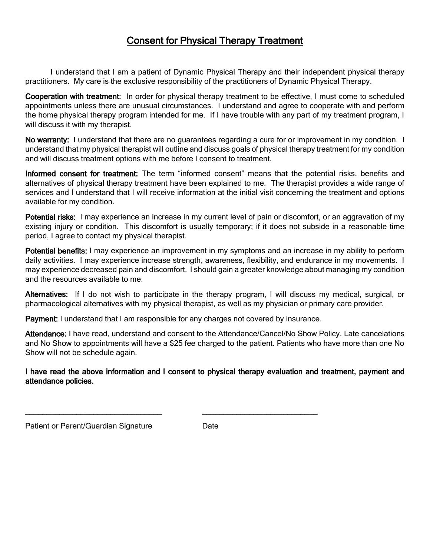# Consent for Physical Therapy Treatment

I understand that I am a patient of Dynamic Physical Therapy and their independent physical therapy practitioners. My care is the exclusive responsibility of the practitioners of Dynamic Physical Therapy.

Cooperation with treatment: In order for physical therapy treatment to be effective, I must come to scheduled appointments unless there are unusual circumstances. I understand and agree to cooperate with and perform the home physical therapy program intended for me. If I have trouble with any part of my treatment program, I will discuss it with my therapist.

No warranty: I understand that there are no quarantees regarding a cure for or improvement in my condition. I understand that my physical therapist will outline and discuss goals of physical therapy treatment for my condition and will discuss treatment options with me before I consent to treatment.

Informed consent for treatment: The term "informed consent" means that the potential risks, benefits and alternatives of physical therapy treatment have been explained to me. The therapist provides a wide range of services and I understand that I will receive information at the initial visit concerning the treatment and options available for my condition.

Potential risks: I may experience an increase in my current level of pain or discomfort, or an aggravation of my existing injury or condition. This discomfort is usually temporary; if it does not subside in a reasonable time period, I agree to contact my physical therapist.

Potential benefits: I may experience an improvement in my symptoms and an increase in my ability to perform daily activities. I may experience increase strength, awareness, flexibility, and endurance in my movements. I may experience decreased pain and discomfort. I should gain a greater knowledge about managing my condition and the resources available to me.

Alternatives: If I do not wish to participate in the therapy program, I will discuss my medical, surgical, or pharmacological alternatives with my physical therapist, as well as my physician or primary care provider.

Payment: I understand that I am responsible for any charges not covered by insurance.

\_\_\_\_\_\_\_\_\_\_\_\_\_\_\_\_\_\_\_\_\_\_\_\_\_\_\_\_\_\_\_\_ \_\_\_\_\_\_\_\_\_\_\_\_\_\_\_\_\_\_\_\_\_\_\_\_\_\_\_

Attendance: I have read, understand and consent to the Attendance/Cancel/No Show Policy. Late cancelations and No Show to appointments will have a \$25 fee charged to the patient. Patients who have more than one No Show will not be schedule again.

I have read the above information and I consent to physical therapy evaluation and treatment, payment and attendance policies.

Patient or Parent/Guardian Signature **Date**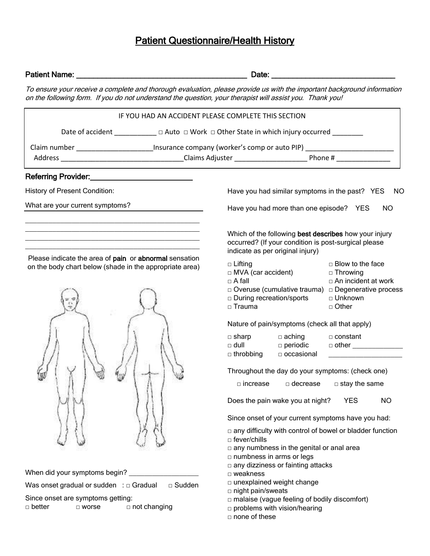# **Patient Questionnaire/Health History**

| Patient Name:<br><u> 1989 - Johann John Stone, mars eta berriamen eta biztanleria (h. 1989).</u>                                                                                                                                   | Date: <u>Date:</u>                                                                                                                                             |                                                                                                  |  |
|------------------------------------------------------------------------------------------------------------------------------------------------------------------------------------------------------------------------------------|----------------------------------------------------------------------------------------------------------------------------------------------------------------|--------------------------------------------------------------------------------------------------|--|
| To ensure your receive a complete and thorough evaluation, please provide us with the important background information<br>on the following form. If you do not understand the question, your therapist will assist you. Thank you! |                                                                                                                                                                |                                                                                                  |  |
| IF YOU HAD AN ACCIDENT PLEASE COMPLETE THIS SECTION                                                                                                                                                                                |                                                                                                                                                                |                                                                                                  |  |
| Date of accident ____________ □ Auto □ Work □ Other State in which injury occurred ________                                                                                                                                        |                                                                                                                                                                |                                                                                                  |  |
| Claim number ________________________Insurance company (worker's comp or auto PIP) _______________________                                                                                                                         |                                                                                                                                                                |                                                                                                  |  |
|                                                                                                                                                                                                                                    |                                                                                                                                                                |                                                                                                  |  |
| Referring Provider:<br><u> </u>                                                                                                                                                                                                    |                                                                                                                                                                |                                                                                                  |  |
| History of Present Condition:                                                                                                                                                                                                      | Have you had similar symptoms in the past? YES                                                                                                                 | NO.                                                                                              |  |
| What are your current symptoms?                                                                                                                                                                                                    | Have you had more than one episode? YES<br><b>NO</b>                                                                                                           |                                                                                                  |  |
|                                                                                                                                                                                                                                    | Which of the following best describes how your injury<br>occurred? (If your condition is post-surgical please<br>indicate as per original injury)              |                                                                                                  |  |
| Please indicate the area of pain or abnormal sensation<br>on the body chart below (shade in the appropriate area)                                                                                                                  | □ Lifting<br>$\Box$ MVA (car accident)<br>$\Box$ A fall<br>□ Overuse (cumulative trauma) □ Degenerative process<br>□ During recreation/sports<br>$\Box$ Trauma | $\Box$ Blow to the face<br>$\Box$ Throwing<br>$\Box$ An incident at work<br>□ Unknown<br>□ Other |  |
|                                                                                                                                                                                                                                    | Nature of pain/symptoms (check all that apply)<br>$\Box$ sharp<br>$\Box$ aching<br>□ dull dull deperiodic defined to other definition and dull                 | □ constant                                                                                       |  |
|                                                                                                                                                                                                                                    | □ throbbing □ occasional                                                                                                                                       |                                                                                                  |  |
|                                                                                                                                                                                                                                    | Throughout the day do your symptoms: (check one)                                                                                                               |                                                                                                  |  |
|                                                                                                                                                                                                                                    | □ increase<br>decrease                                                                                                                                         | $\Box$ stay the same                                                                             |  |
|                                                                                                                                                                                                                                    | Does the pain wake you at night?                                                                                                                               | <b>YES</b><br><b>NO</b>                                                                          |  |
|                                                                                                                                                                                                                                    | Since onset of your current symptoms have you had:                                                                                                             |                                                                                                  |  |
|                                                                                                                                                                                                                                    | $\Box$ any difficulty with control of bowel or bladder function<br>□ fever/chills                                                                              |                                                                                                  |  |
|                                                                                                                                                                                                                                    | any numbness in the genital or anal area<br>numbness in arms or legs<br>any dizziness or fainting attacks                                                      |                                                                                                  |  |
| When did your symptoms begin?                                                                                                                                                                                                      | □ weakness                                                                                                                                                     |                                                                                                  |  |
| □ Sudden<br>Was onset gradual or sudden : $\Box$ Gradual                                                                                                                                                                           | □ unexplained weight change<br>□ night pain/sweats                                                                                                             |                                                                                                  |  |
| Since onset are symptoms getting:<br>□ not changing<br>□ better<br>□ worse                                                                                                                                                         | □ malaise (vague feeling of bodily discomfort)<br>$\square$ problems with vision/hearing<br>□ none of these                                                    |                                                                                                  |  |